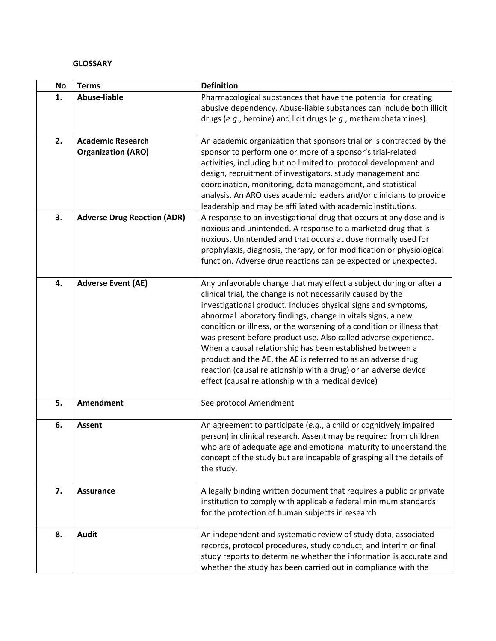## **GLOSSARY**

| <b>No</b> | <b>Terms</b>                                          | <b>Definition</b>                                                                                                                                                                                                                                                                                                                                                                                                                                                                                                                                                                                                                                                    |
|-----------|-------------------------------------------------------|----------------------------------------------------------------------------------------------------------------------------------------------------------------------------------------------------------------------------------------------------------------------------------------------------------------------------------------------------------------------------------------------------------------------------------------------------------------------------------------------------------------------------------------------------------------------------------------------------------------------------------------------------------------------|
| 1.        | <b>Abuse-liable</b>                                   | Pharmacological substances that have the potential for creating<br>abusive dependency. Abuse-liable substances can include both illicit<br>drugs (e.g., heroine) and licit drugs (e.g., methamphetamines).                                                                                                                                                                                                                                                                                                                                                                                                                                                           |
| 2.        | <b>Academic Research</b><br><b>Organization (ARO)</b> | An academic organization that sponsors trial or is contracted by the<br>sponsor to perform one or more of a sponsor's trial-related<br>activities, including but no limited to: protocol development and<br>design, recruitment of investigators, study management and<br>coordination, monitoring, data management, and statistical<br>analysis. An ARO uses academic leaders and/or clinicians to provide<br>leadership and may be affiliated with academic institutions.                                                                                                                                                                                          |
| 3.        | <b>Adverse Drug Reaction (ADR)</b>                    | A response to an investigational drug that occurs at any dose and is<br>noxious and unintended. A response to a marketed drug that is<br>noxious. Unintended and that occurs at dose normally used for<br>prophylaxis, diagnosis, therapy, or for modification or physiological<br>function. Adverse drug reactions can be expected or unexpected.                                                                                                                                                                                                                                                                                                                   |
| 4.        | <b>Adverse Event (AE)</b>                             | Any unfavorable change that may effect a subject during or after a<br>clinical trial, the change is not necessarily caused by the<br>investigational product. Includes physical signs and symptoms,<br>abnormal laboratory findings, change in vitals signs, a new<br>condition or illness, or the worsening of a condition or illness that<br>was present before product use. Also called adverse experience.<br>When a causal relationship has been established between a<br>product and the AE, the AE is referred to as an adverse drug<br>reaction (causal relationship with a drug) or an adverse device<br>effect (causal relationship with a medical device) |
| 5.        | <b>Amendment</b>                                      | See protocol Amendment                                                                                                                                                                                                                                                                                                                                                                                                                                                                                                                                                                                                                                               |
| 6.        | <b>Assent</b>                                         | An agreement to participate (e.g., a child or cognitively impaired<br>person) in clinical research. Assent may be required from children<br>who are of adequate age and emotional maturity to understand the<br>concept of the study but are incapable of grasping all the details of<br>the study.                                                                                                                                                                                                                                                                                                                                                                  |
| 7.        | <b>Assurance</b>                                      | A legally binding written document that requires a public or private<br>institution to comply with applicable federal minimum standards<br>for the protection of human subjects in research                                                                                                                                                                                                                                                                                                                                                                                                                                                                          |
| 8.        | <b>Audit</b>                                          | An independent and systematic review of study data, associated<br>records, protocol procedures, study conduct, and interim or final<br>study reports to determine whether the information is accurate and<br>whether the study has been carried out in compliance with the                                                                                                                                                                                                                                                                                                                                                                                           |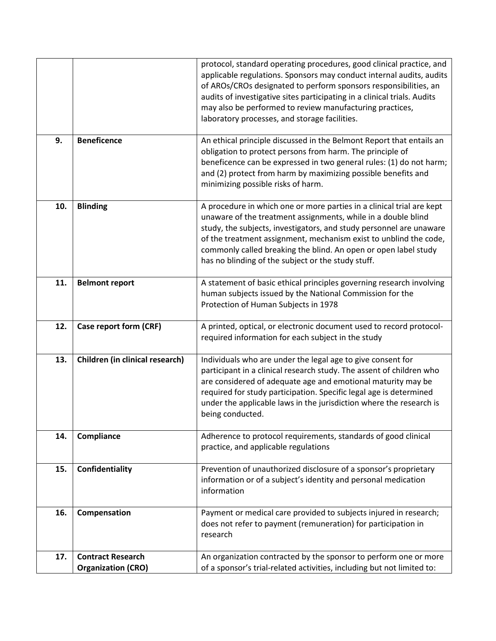|     |                                                       | protocol, standard operating procedures, good clinical practice, and<br>applicable regulations. Sponsors may conduct internal audits, audits<br>of AROs/CROs designated to perform sponsors responsibilities, an<br>audits of investigative sites participating in a clinical trials. Audits<br>may also be performed to review manufacturing practices,<br>laboratory processes, and storage facilities.   |
|-----|-------------------------------------------------------|-------------------------------------------------------------------------------------------------------------------------------------------------------------------------------------------------------------------------------------------------------------------------------------------------------------------------------------------------------------------------------------------------------------|
| 9.  | <b>Beneficence</b>                                    | An ethical principle discussed in the Belmont Report that entails an<br>obligation to protect persons from harm. The principle of<br>beneficence can be expressed in two general rules: (1) do not harm;<br>and (2) protect from harm by maximizing possible benefits and<br>minimizing possible risks of harm.                                                                                             |
| 10. | <b>Blinding</b>                                       | A procedure in which one or more parties in a clinical trial are kept<br>unaware of the treatment assignments, while in a double blind<br>study, the subjects, investigators, and study personnel are unaware<br>of the treatment assignment, mechanism exist to unblind the code,<br>commonly called breaking the blind. An open or open label study<br>has no blinding of the subject or the study stuff. |
| 11. | <b>Belmont report</b>                                 | A statement of basic ethical principles governing research involving<br>human subjects issued by the National Commission for the<br>Protection of Human Subjects in 1978                                                                                                                                                                                                                                    |
| 12. | Case report form (CRF)                                | A printed, optical, or electronic document used to record protocol-<br>required information for each subject in the study                                                                                                                                                                                                                                                                                   |
| 13. | Children (in clinical research)                       | Individuals who are under the legal age to give consent for<br>participant in a clinical research study. The assent of children who<br>are considered of adequate age and emotional maturity may be<br>required for study participation. Specific legal age is determined<br>under the applicable laws in the jurisdiction where the research is<br>being conducted.                                        |
| 14. | Compliance                                            | Adherence to protocol requirements, standards of good clinical<br>practice, and applicable regulations                                                                                                                                                                                                                                                                                                      |
| 15. | Confidentiality                                       | Prevention of unauthorized disclosure of a sponsor's proprietary<br>information or of a subject's identity and personal medication<br>information                                                                                                                                                                                                                                                           |
| 16. | Compensation                                          | Payment or medical care provided to subjects injured in research;<br>does not refer to payment (remuneration) for participation in<br>research                                                                                                                                                                                                                                                              |
| 17. | <b>Contract Research</b><br><b>Organization (CRO)</b> | An organization contracted by the sponsor to perform one or more<br>of a sponsor's trial-related activities, including but not limited to:                                                                                                                                                                                                                                                                  |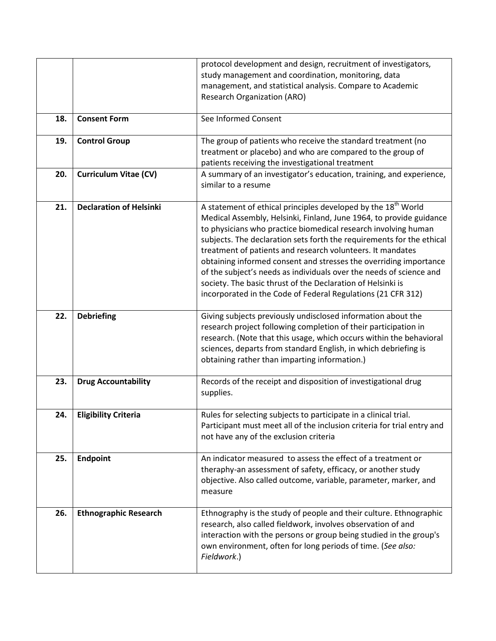|     |                                | protocol development and design, recruitment of investigators,<br>study management and coordination, monitoring, data                                                                                                                                                                                                                                                                                                                                                                                                                                                                                                                |
|-----|--------------------------------|--------------------------------------------------------------------------------------------------------------------------------------------------------------------------------------------------------------------------------------------------------------------------------------------------------------------------------------------------------------------------------------------------------------------------------------------------------------------------------------------------------------------------------------------------------------------------------------------------------------------------------------|
|     |                                | management, and statistical analysis. Compare to Academic<br><b>Research Organization (ARO)</b>                                                                                                                                                                                                                                                                                                                                                                                                                                                                                                                                      |
| 18. | <b>Consent Form</b>            | See Informed Consent                                                                                                                                                                                                                                                                                                                                                                                                                                                                                                                                                                                                                 |
| 19. | <b>Control Group</b>           | The group of patients who receive the standard treatment (no<br>treatment or placebo) and who are compared to the group of<br>patients receiving the investigational treatment                                                                                                                                                                                                                                                                                                                                                                                                                                                       |
| 20. | <b>Curriculum Vitae (CV)</b>   | A summary of an investigator's education, training, and experience,<br>similar to a resume                                                                                                                                                                                                                                                                                                                                                                                                                                                                                                                                           |
| 21. | <b>Declaration of Helsinki</b> | A statement of ethical principles developed by the 18 <sup>th</sup> World<br>Medical Assembly, Helsinki, Finland, June 1964, to provide guidance<br>to physicians who practice biomedical research involving human<br>subjects. The declaration sets forth the requirements for the ethical<br>treatment of patients and research volunteers. It mandates<br>obtaining informed consent and stresses the overriding importance<br>of the subject's needs as individuals over the needs of science and<br>society. The basic thrust of the Declaration of Helsinki is<br>incorporated in the Code of Federal Regulations (21 CFR 312) |
| 22. | <b>Debriefing</b>              | Giving subjects previously undisclosed information about the<br>research project following completion of their participation in<br>research. (Note that this usage, which occurs within the behavioral<br>sciences, departs from standard English, in which debriefing is<br>obtaining rather than imparting information.)                                                                                                                                                                                                                                                                                                           |
| 23. | <b>Drug Accountability</b>     | Records of the receipt and disposition of investigational drug<br>supplies.                                                                                                                                                                                                                                                                                                                                                                                                                                                                                                                                                          |
| 24. | <b>Eligibility Criteria</b>    | Rules for selecting subjects to participate in a clinical trial.<br>Participant must meet all of the inclusion criteria for trial entry and<br>not have any of the exclusion criteria                                                                                                                                                                                                                                                                                                                                                                                                                                                |
| 25. | <b>Endpoint</b>                | An indicator measured to assess the effect of a treatment or<br>theraphy-an assessment of safety, efficacy, or another study<br>objective. Also called outcome, variable, parameter, marker, and<br>measure                                                                                                                                                                                                                                                                                                                                                                                                                          |
| 26. | <b>Ethnographic Research</b>   | Ethnography is the study of people and their culture. Ethnographic<br>research, also called fieldwork, involves observation of and<br>interaction with the persons or group being studied in the group's<br>own environment, often for long periods of time. (See also:<br>Fieldwork.)                                                                                                                                                                                                                                                                                                                                               |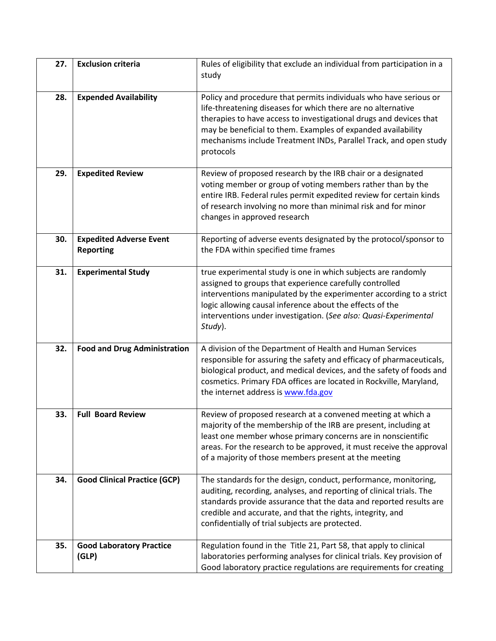| 27. | <b>Exclusion criteria</b>                          | Rules of eligibility that exclude an individual from participation in a<br>study                                                                                                                                                                                                                                                                          |
|-----|----------------------------------------------------|-----------------------------------------------------------------------------------------------------------------------------------------------------------------------------------------------------------------------------------------------------------------------------------------------------------------------------------------------------------|
| 28. | <b>Expended Availability</b>                       | Policy and procedure that permits individuals who have serious or<br>life-threatening diseases for which there are no alternative<br>therapies to have access to investigational drugs and devices that<br>may be beneficial to them. Examples of expanded availability<br>mechanisms include Treatment INDs, Parallel Track, and open study<br>protocols |
| 29. | <b>Expedited Review</b>                            | Review of proposed research by the IRB chair or a designated<br>voting member or group of voting members rather than by the<br>entire IRB. Federal rules permit expedited review for certain kinds<br>of research involving no more than minimal risk and for minor<br>changes in approved research                                                       |
| 30. | <b>Expedited Adverse Event</b><br><b>Reporting</b> | Reporting of adverse events designated by the protocol/sponsor to<br>the FDA within specified time frames                                                                                                                                                                                                                                                 |
| 31. | <b>Experimental Study</b>                          | true experimental study is one in which subjects are randomly<br>assigned to groups that experience carefully controlled<br>interventions manipulated by the experimenter according to a strict<br>logic allowing causal inference about the effects of the<br>interventions under investigation. (See also: Quasi-Experimental<br>Study).                |
| 32. | <b>Food and Drug Administration</b>                | A division of the Department of Health and Human Services<br>responsible for assuring the safety and efficacy of pharmaceuticals,<br>biological product, and medical devices, and the safety of foods and<br>cosmetics. Primary FDA offices are located in Rockville, Maryland,<br>the internet address is www.fda.gov                                    |
| 33. | <b>Full Board Review</b>                           | Review of proposed research at a convened meeting at which a<br>majority of the membership of the IRB are present, including at<br>least one member whose primary concerns are in nonscientific<br>areas. For the research to be approved, it must receive the approval<br>of a majority of those members present at the meeting                          |
| 34. | <b>Good Clinical Practice (GCP)</b>                | The standards for the design, conduct, performance, monitoring,<br>auditing, recording, analyses, and reporting of clinical trials. The<br>standards provide assurance that the data and reported results are<br>credible and accurate, and that the rights, integrity, and<br>confidentially of trial subjects are protected.                            |
| 35. | <b>Good Laboratory Practice</b><br>(GLP)           | Regulation found in the Title 21, Part 58, that apply to clinical<br>laboratories performing analyses for clinical trials. Key provision of<br>Good laboratory practice regulations are requirements for creating                                                                                                                                         |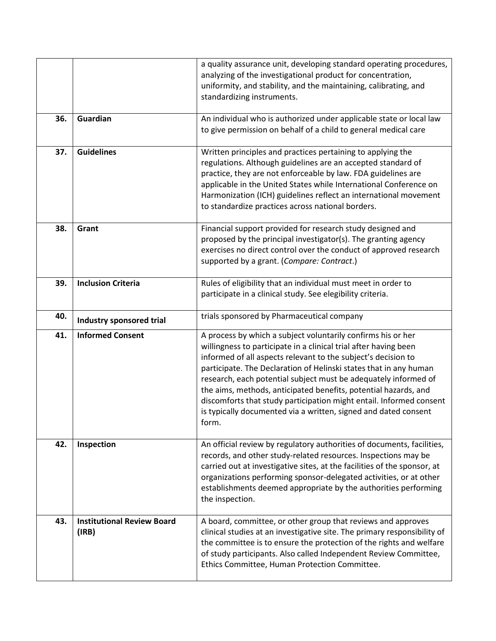|     |                                            | a quality assurance unit, developing standard operating procedures,<br>analyzing of the investigational product for concentration,<br>uniformity, and stability, and the maintaining, calibrating, and<br>standardizing instruments.                                                                                                                                                                                                                                                                                                                            |
|-----|--------------------------------------------|-----------------------------------------------------------------------------------------------------------------------------------------------------------------------------------------------------------------------------------------------------------------------------------------------------------------------------------------------------------------------------------------------------------------------------------------------------------------------------------------------------------------------------------------------------------------|
| 36. | Guardian                                   | An individual who is authorized under applicable state or local law<br>to give permission on behalf of a child to general medical care                                                                                                                                                                                                                                                                                                                                                                                                                          |
| 37. | <b>Guidelines</b>                          | Written principles and practices pertaining to applying the<br>regulations. Although guidelines are an accepted standard of<br>practice, they are not enforceable by law. FDA guidelines are<br>applicable in the United States while International Conference on<br>Harmonization (ICH) guidelines reflect an international movement<br>to standardize practices across national borders.                                                                                                                                                                      |
| 38. | Grant                                      | Financial support provided for research study designed and<br>proposed by the principal investigator(s). The granting agency<br>exercises no direct control over the conduct of approved research<br>supported by a grant. (Compare: Contract.)                                                                                                                                                                                                                                                                                                                 |
| 39. | <b>Inclusion Criteria</b>                  | Rules of eligibility that an individual must meet in order to<br>participate in a clinical study. See elegibility criteria.                                                                                                                                                                                                                                                                                                                                                                                                                                     |
| 40. | Industry sponsored trial                   | trials sponsored by Pharmaceutical company                                                                                                                                                                                                                                                                                                                                                                                                                                                                                                                      |
| 41. | <b>Informed Consent</b>                    | A process by which a subject voluntarily confirms his or her<br>willingness to participate in a clinical trial after having been<br>informed of all aspects relevant to the subject's decision to<br>participate. The Declaration of Helinski states that in any human<br>research, each potential subject must be adequately informed of<br>the aims, methods, anticipated benefits, potential hazards, and<br>discomforts that study participation might entail. Informed consent<br>is typically documented via a written, signed and dated consent<br>torm. |
| 42. | Inspection                                 | An official review by regulatory authorities of documents, facilities,<br>records, and other study-related resources. Inspections may be<br>carried out at investigative sites, at the facilities of the sponsor, at<br>organizations performing sponsor-delegated activities, or at other<br>establishments deemed appropriate by the authorities performing<br>the inspection.                                                                                                                                                                                |
| 43. | <b>Institutional Review Board</b><br>(IRB) | A board, committee, or other group that reviews and approves<br>clinical studies at an investigative site. The primary responsibility of<br>the committee is to ensure the protection of the rights and welfare<br>of study participants. Also called Independent Review Committee,<br>Ethics Committee, Human Protection Committee.                                                                                                                                                                                                                            |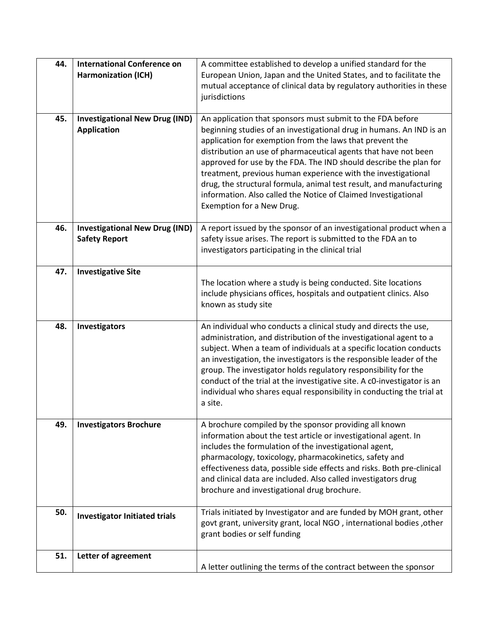| 44. | <b>International Conference on</b>    | A committee established to develop a unified standard for the                                                                                    |
|-----|---------------------------------------|--------------------------------------------------------------------------------------------------------------------------------------------------|
|     | <b>Harmonization (ICH)</b>            | European Union, Japan and the United States, and to facilitate the                                                                               |
|     |                                       | mutual acceptance of clinical data by regulatory authorities in these                                                                            |
|     |                                       | jurisdictions                                                                                                                                    |
|     |                                       |                                                                                                                                                  |
| 45. | <b>Investigational New Drug (IND)</b> | An application that sponsors must submit to the FDA before                                                                                       |
|     | <b>Application</b>                    | beginning studies of an investigational drug in humans. An IND is an                                                                             |
|     |                                       | application for exemption from the laws that prevent the                                                                                         |
|     |                                       | distribution an use of pharmaceutical agents that have not been                                                                                  |
|     |                                       | approved for use by the FDA. The IND should describe the plan for                                                                                |
|     |                                       | treatment, previous human experience with the investigational                                                                                    |
|     |                                       | drug, the structural formula, animal test result, and manufacturing                                                                              |
|     |                                       | information. Also called the Notice of Claimed Investigational                                                                                   |
|     |                                       | Exemption for a New Drug.                                                                                                                        |
|     |                                       |                                                                                                                                                  |
| 46. | <b>Investigational New Drug (IND)</b> | A report issued by the sponsor of an investigational product when a                                                                              |
|     | <b>Safety Report</b>                  | safety issue arises. The report is submitted to the FDA an to<br>investigators participating in the clinical trial                               |
|     |                                       |                                                                                                                                                  |
| 47. | <b>Investigative Site</b>             |                                                                                                                                                  |
|     |                                       | The location where a study is being conducted. Site locations                                                                                    |
|     |                                       | include physicians offices, hospitals and outpatient clinics. Also                                                                               |
|     |                                       | known as study site                                                                                                                              |
|     |                                       |                                                                                                                                                  |
| 48. | Investigators                         | An individual who conducts a clinical study and directs the use,                                                                                 |
|     |                                       | administration, and distribution of the investigational agent to a                                                                               |
|     |                                       | subject. When a team of individuals at a specific location conducts                                                                              |
|     |                                       | an investigation, the investigators is the responsible leader of the                                                                             |
|     |                                       | group. The investigator holds regulatory responsibility for the                                                                                  |
|     |                                       | conduct of the trial at the investigative site. A c0-investigator is an<br>individual who shares equal responsibility in conducting the trial at |
|     |                                       | a site.                                                                                                                                          |
|     |                                       |                                                                                                                                                  |
| 49. | <b>Investigators Brochure</b>         | A brochure compiled by the sponsor providing all known                                                                                           |
|     |                                       | information about the test article or investigational agent. In                                                                                  |
|     |                                       | includes the formulation of the investigational agent,                                                                                           |
|     |                                       | pharmacology, toxicology, pharmacokinetics, safety and                                                                                           |
|     |                                       | effectiveness data, possible side effects and risks. Both pre-clinical                                                                           |
|     |                                       | and clinical data are included. Also called investigators drug                                                                                   |
|     |                                       | brochure and investigational drug brochure.                                                                                                      |
| 50. |                                       | Trials initiated by Investigator and are funded by MOH grant, other                                                                              |
|     | <b>Investigator Initiated trials</b>  | govt grant, university grant, local NGO, international bodies, other                                                                             |
|     |                                       | grant bodies or self funding                                                                                                                     |
|     |                                       |                                                                                                                                                  |
| 51. | Letter of agreement                   |                                                                                                                                                  |
|     |                                       | A letter outlining the terms of the contract between the sponsor                                                                                 |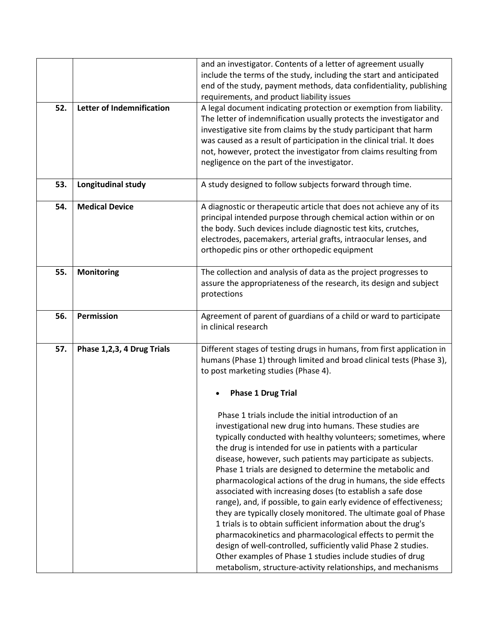|                                  | and an investigator. Contents of a letter of agreement usually<br>include the terms of the study, including the start and anticipated<br>end of the study, payment methods, data confidentiality, publishing                                                                                                                                                                                                                                                                                                                                                                                                                                                                                                                                                                                                                                                                                                           |
|----------------------------------|------------------------------------------------------------------------------------------------------------------------------------------------------------------------------------------------------------------------------------------------------------------------------------------------------------------------------------------------------------------------------------------------------------------------------------------------------------------------------------------------------------------------------------------------------------------------------------------------------------------------------------------------------------------------------------------------------------------------------------------------------------------------------------------------------------------------------------------------------------------------------------------------------------------------|
| <b>Letter of Indemnification</b> | requirements, and product liability issues<br>A legal document indicating protection or exemption from liability.<br>The letter of indemnification usually protects the investigator and<br>investigative site from claims by the study participant that harm<br>was caused as a result of participation in the clinical trial. It does<br>not, however, protect the investigator from claims resulting from<br>negligence on the part of the investigator.                                                                                                                                                                                                                                                                                                                                                                                                                                                            |
| Longitudinal study               | A study designed to follow subjects forward through time.                                                                                                                                                                                                                                                                                                                                                                                                                                                                                                                                                                                                                                                                                                                                                                                                                                                              |
| <b>Medical Device</b>            | A diagnostic or therapeutic article that does not achieve any of its<br>principal intended purpose through chemical action within or on<br>the body. Such devices include diagnostic test kits, crutches,<br>electrodes, pacemakers, arterial grafts, intraocular lenses, and<br>orthopedic pins or other orthopedic equipment                                                                                                                                                                                                                                                                                                                                                                                                                                                                                                                                                                                         |
| Monitoring                       | The collection and analysis of data as the project progresses to<br>assure the appropriateness of the research, its design and subject<br>protections                                                                                                                                                                                                                                                                                                                                                                                                                                                                                                                                                                                                                                                                                                                                                                  |
| Permission                       | Agreement of parent of guardians of a child or ward to participate<br>in clinical research                                                                                                                                                                                                                                                                                                                                                                                                                                                                                                                                                                                                                                                                                                                                                                                                                             |
| Phase 1,2,3, 4 Drug Trials       | Different stages of testing drugs in humans, from first application in<br>humans (Phase 1) through limited and broad clinical tests (Phase 3),<br>to post marketing studies (Phase 4).                                                                                                                                                                                                                                                                                                                                                                                                                                                                                                                                                                                                                                                                                                                                 |
|                                  | <b>Phase 1 Drug Trial</b>                                                                                                                                                                                                                                                                                                                                                                                                                                                                                                                                                                                                                                                                                                                                                                                                                                                                                              |
|                                  | Phase 1 trials include the initial introduction of an<br>investigational new drug into humans. These studies are<br>typically conducted with healthy volunteers; sometimes, where<br>the drug is intended for use in patients with a particular<br>disease, however, such patients may participate as subjects.<br>Phase 1 trials are designed to determine the metabolic and<br>pharmacological actions of the drug in humans, the side effects<br>associated with increasing doses (to establish a safe dose<br>range), and, if possible, to gain early evidence of effectiveness;<br>they are typically closely monitored. The ultimate goal of Phase<br>1 trials is to obtain sufficient information about the drug's<br>pharmacokinetics and pharmacological effects to permit the<br>design of well-controlled, sufficiently valid Phase 2 studies.<br>Other examples of Phase 1 studies include studies of drug |
|                                  |                                                                                                                                                                                                                                                                                                                                                                                                                                                                                                                                                                                                                                                                                                                                                                                                                                                                                                                        |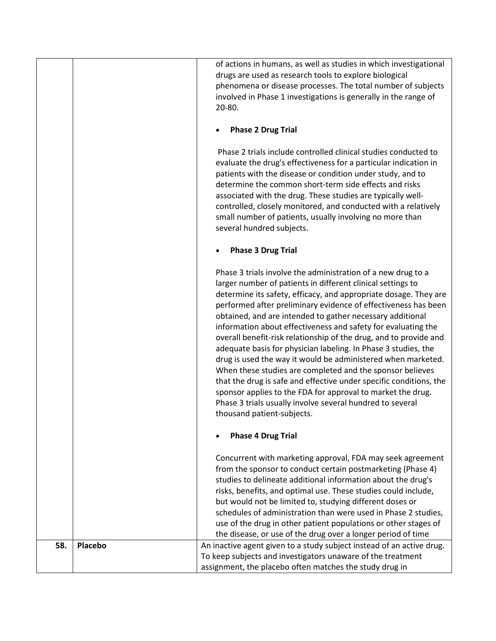|     |         | of actions in humans, as well as studies in which investigational                                                                                                                                                                                                                                                                                                                                                                                                                     |
|-----|---------|---------------------------------------------------------------------------------------------------------------------------------------------------------------------------------------------------------------------------------------------------------------------------------------------------------------------------------------------------------------------------------------------------------------------------------------------------------------------------------------|
|     |         | drugs are used as research tools to explore biological                                                                                                                                                                                                                                                                                                                                                                                                                                |
|     |         | phenomena or disease processes. The total number of subjects                                                                                                                                                                                                                                                                                                                                                                                                                          |
|     |         | involved in Phase 1 investigations is generally in the range of                                                                                                                                                                                                                                                                                                                                                                                                                       |
|     |         | 20-80.                                                                                                                                                                                                                                                                                                                                                                                                                                                                                |
|     |         |                                                                                                                                                                                                                                                                                                                                                                                                                                                                                       |
|     |         | <b>Phase 2 Drug Trial</b>                                                                                                                                                                                                                                                                                                                                                                                                                                                             |
|     |         | Phase 2 trials include controlled clinical studies conducted to<br>evaluate the drug's effectiveness for a particular indication in<br>patients with the disease or condition under study, and to<br>determine the common short-term side effects and risks<br>associated with the drug. These studies are typically well-<br>controlled, closely monitored, and conducted with a relatively<br>small number of patients, usually involving no more than<br>several hundred subjects. |
|     |         | <b>Phase 3 Drug Trial</b>                                                                                                                                                                                                                                                                                                                                                                                                                                                             |
|     |         | Phase 3 trials involve the administration of a new drug to a<br>larger number of patients in different clinical settings to<br>determine its safety, efficacy, and appropriate dosage. They are<br>performed after preliminary evidence of effectiveness has been<br>obtained, and are intended to gather necessary additional<br>information about effectiveness and safety for evaluating the<br>overall benefit-risk relationship of the drug, and to provide and                  |
|     |         | adequate basis for physician labeling. In Phase 3 studies, the<br>drug is used the way it would be administered when marketed.<br>When these studies are completed and the sponsor believes<br>that the drug is safe and effective under specific conditions, the<br>sponsor applies to the FDA for approval to market the drug.<br>Phase 3 trials usually involve several hundred to several<br>thousand patient-subjects.                                                           |
|     |         | <b>Phase 4 Drug Trial</b>                                                                                                                                                                                                                                                                                                                                                                                                                                                             |
|     |         | Concurrent with marketing approval, FDA may seek agreement<br>from the sponsor to conduct certain postmarketing (Phase 4)                                                                                                                                                                                                                                                                                                                                                             |
|     |         | studies to delineate additional information about the drug's<br>risks, benefits, and optimal use. These studies could include,                                                                                                                                                                                                                                                                                                                                                        |
|     |         | but would not be limited to, studying different doses or                                                                                                                                                                                                                                                                                                                                                                                                                              |
|     |         | schedules of administration than were used in Phase 2 studies,                                                                                                                                                                                                                                                                                                                                                                                                                        |
|     |         | use of the drug in other patient populations or other stages of                                                                                                                                                                                                                                                                                                                                                                                                                       |
|     |         | the disease, or use of the drug over a longer period of time                                                                                                                                                                                                                                                                                                                                                                                                                          |
| 58. | Placebo | An inactive agent given to a study subject instead of an active drug.                                                                                                                                                                                                                                                                                                                                                                                                                 |
|     |         | To keep subjects and investigators unaware of the treatment                                                                                                                                                                                                                                                                                                                                                                                                                           |
|     |         | assignment, the placebo often matches the study drug in                                                                                                                                                                                                                                                                                                                                                                                                                               |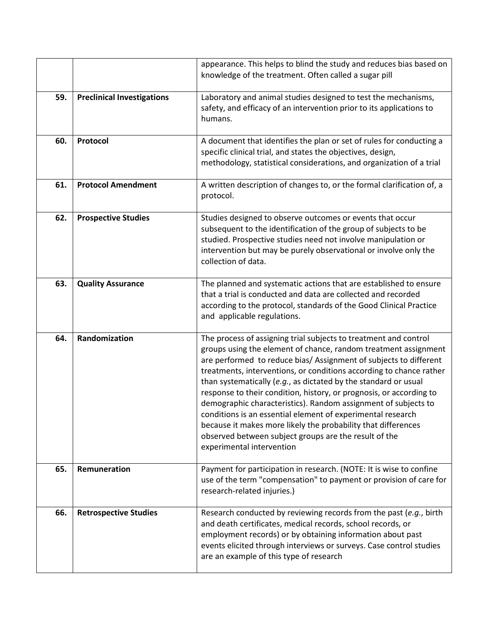|     |                                   | appearance. This helps to blind the study and reduces bias based on<br>knowledge of the treatment. Often called a sugar pill                                                                                                                                                                                                                                                                                                                                                                                                                                                                                                                                                                                      |
|-----|-----------------------------------|-------------------------------------------------------------------------------------------------------------------------------------------------------------------------------------------------------------------------------------------------------------------------------------------------------------------------------------------------------------------------------------------------------------------------------------------------------------------------------------------------------------------------------------------------------------------------------------------------------------------------------------------------------------------------------------------------------------------|
| 59. | <b>Preclinical Investigations</b> | Laboratory and animal studies designed to test the mechanisms,<br>safety, and efficacy of an intervention prior to its applications to<br>humans.                                                                                                                                                                                                                                                                                                                                                                                                                                                                                                                                                                 |
| 60. | Protocol                          | A document that identifies the plan or set of rules for conducting a<br>specific clinical trial, and states the objectives, design,<br>methodology, statistical considerations, and organization of a trial                                                                                                                                                                                                                                                                                                                                                                                                                                                                                                       |
| 61. | <b>Protocol Amendment</b>         | A written description of changes to, or the formal clarification of, a<br>protocol.                                                                                                                                                                                                                                                                                                                                                                                                                                                                                                                                                                                                                               |
| 62. | <b>Prospective Studies</b>        | Studies designed to observe outcomes or events that occur<br>subsequent to the identification of the group of subjects to be<br>studied. Prospective studies need not involve manipulation or<br>intervention but may be purely observational or involve only the<br>collection of data.                                                                                                                                                                                                                                                                                                                                                                                                                          |
| 63. | <b>Quality Assurance</b>          | The planned and systematic actions that are established to ensure<br>that a trial is conducted and data are collected and recorded<br>according to the protocol, standards of the Good Clinical Practice<br>and applicable regulations.                                                                                                                                                                                                                                                                                                                                                                                                                                                                           |
| 64. | Randomization                     | The process of assigning trial subjects to treatment and control<br>groups using the element of chance, random treatment assignment<br>are performed to reduce bias/ Assignment of subjects to different<br>treatments, interventions, or conditions according to chance rather<br>than systematically (e.g., as dictated by the standard or usual<br>response to their condition, history, or prognosis, or according to<br>demographic characteristics). Random assignment of subjects to<br>conditions is an essential element of experimental research<br>because it makes more likely the probability that differences<br>observed between subject groups are the result of the<br>experimental intervention |
| 65. | Remuneration                      | Payment for participation in research. (NOTE: It is wise to confine<br>use of the term "compensation" to payment or provision of care for<br>research-related injuries.)                                                                                                                                                                                                                                                                                                                                                                                                                                                                                                                                          |
| 66. | <b>Retrospective Studies</b>      | Research conducted by reviewing records from the past (e.g., birth<br>and death certificates, medical records, school records, or<br>employment records) or by obtaining information about past<br>events elicited through interviews or surveys. Case control studies<br>are an example of this type of research                                                                                                                                                                                                                                                                                                                                                                                                 |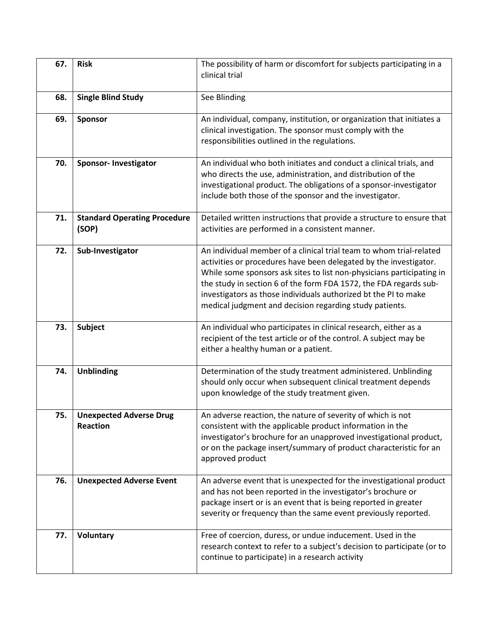| 67. | <b>Risk</b>                                       | The possibility of harm or discomfort for subjects participating in a<br>clinical trial                                                                                                                                                                                                                                                                                                                              |
|-----|---------------------------------------------------|----------------------------------------------------------------------------------------------------------------------------------------------------------------------------------------------------------------------------------------------------------------------------------------------------------------------------------------------------------------------------------------------------------------------|
| 68. | <b>Single Blind Study</b>                         | See Blinding                                                                                                                                                                                                                                                                                                                                                                                                         |
| 69. | Sponsor                                           | An individual, company, institution, or organization that initiates a<br>clinical investigation. The sponsor must comply with the<br>responsibilities outlined in the regulations.                                                                                                                                                                                                                                   |
| 70. | <b>Sponsor-Investigator</b>                       | An individual who both initiates and conduct a clinical trials, and<br>who directs the use, administration, and distribution of the<br>investigational product. The obligations of a sponsor-investigator<br>include both those of the sponsor and the investigator.                                                                                                                                                 |
| 71. | <b>Standard Operating Procedure</b><br>(SOP)      | Detailed written instructions that provide a structure to ensure that<br>activities are performed in a consistent manner.                                                                                                                                                                                                                                                                                            |
| 72. | Sub-Investigator                                  | An individual member of a clinical trial team to whom trial-related<br>activities or procedures have been delegated by the investigator.<br>While some sponsors ask sites to list non-physicians participating in<br>the study in section 6 of the form FDA 1572, the FDA regards sub-<br>investigators as those individuals authorized bt the PI to make<br>medical judgment and decision regarding study patients. |
| 73. | <b>Subject</b>                                    | An individual who participates in clinical research, either as a<br>recipient of the test article or of the control. A subject may be<br>either a healthy human or a patient.                                                                                                                                                                                                                                        |
| 74. | <b>Unblinding</b>                                 | Determination of the study treatment administered. Unblinding<br>should only occur when subsequent clinical treatment depends<br>upon knowledge of the study treatment given.                                                                                                                                                                                                                                        |
| 75. | <b>Unexpected Adverse Drug</b><br><b>Reaction</b> | An adverse reaction, the nature of severity of which is not<br>consistent with the applicable product information in the<br>investigator's brochure for an unapproved investigational product,<br>or on the package insert/summary of product characteristic for an<br>approved product                                                                                                                              |
| 76. | <b>Unexpected Adverse Event</b>                   | An adverse event that is unexpected for the investigational product<br>and has not been reported in the investigator's brochure or<br>package insert or is an event that is being reported in greater<br>severity or frequency than the same event previously reported.                                                                                                                                              |
| 77. | <b>Voluntary</b>                                  | Free of coercion, duress, or undue inducement. Used in the<br>research context to refer to a subject's decision to participate (or to<br>continue to participate) in a research activity                                                                                                                                                                                                                             |